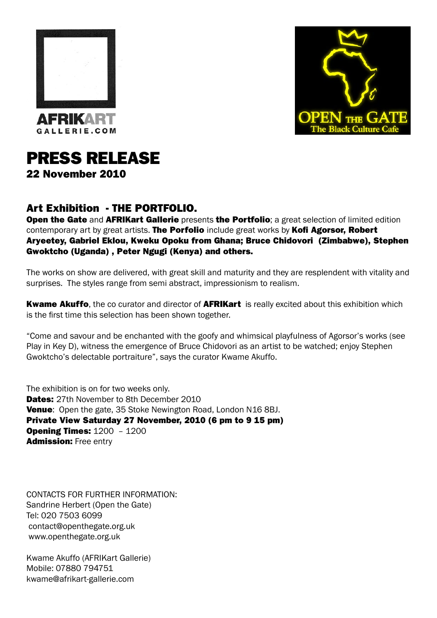



## PRESS RELEASE

22 November 2010

## Art Exhibition - THE PORTFOLIO.

Open the Gate and AFRIKart Gallerie presents the Portfolio; a great selection of limited edition contemporary art by great artists. The Porfolio include great works by Kofi Agorsor, Robert Aryeetey, Gabriel Eklou, Kweku Opoku from Ghana; Bruce Chidovori (Zimbabwe), Stephen Gwoktcho (Uganda) , Peter Ngugi (Kenya) and others.

The works on show are delivered, with great skill and maturity and they are resplendent with vitality and surprises. The styles range from semi abstract, impressionism to realism.

**Kwame Akuffo**, the co curator and director of **AFRIKart** is really excited about this exhibition which is the first time this selection has been shown together.

"Come and savour and be enchanted with the goofy and whimsical playfulness of Agorsor's works (see Play in Key D), witness the emergence of Bruce Chidovori as an artist to be watched; enjoy Stephen Gwoktcho's delectable portraiture", says the curator Kwame Akuffo.

The exhibition is on for two weeks only. **Dates:** 27th November to 8th December 2010 Venue: Open the gate, 35 Stoke Newington Road, London N16 8BJ. Private View Saturday 27 November, 2010 (6 pm to 9 15 pm) **Opening Times: 1200 - 1200 Admission:** Free entry

CONTACTS FOR FURTHER INFORMATION: Sandrine Herbert (Open the Gate) Tel: 020 7503 6099 contact@openthegate.org.uk www.openthegate.org.uk

Kwame Akuffo (AFRIKart Gallerie) Mobile: 07880 794751 kwame@afrikart-gallerie.com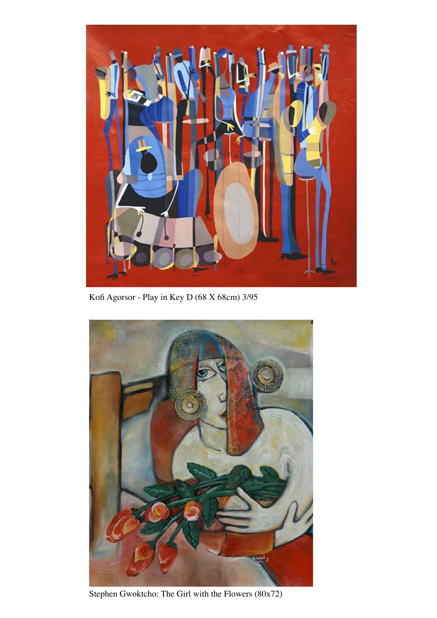

Kofi Agorsor - Play in Key D (68 X 68cm) 3/95



Stephen Gwoktcho: The Girl with the Flowers (80x72)